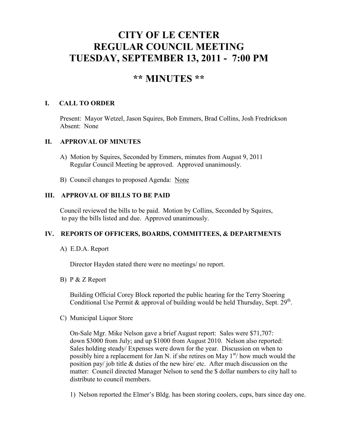# **CITY OF LE CENTER REGULAR COUNCIL MEETING TUESDAY, SEPTEMBER 13, 2011 - 7:00 PM**

## **\*\* MINUTES \*\***

## **I. CALL TO ORDER**

Present: Mayor Wetzel, Jason Squires, Bob Emmers, Brad Collins, Josh Fredrickson Absent: None

## **II. APPROVAL OF MINUTES**

- A) Motion by Squires, Seconded by Emmers, minutes from August 9, 2011 Regular Council Meeting be approved. Approved unanimously.
- B) Council changes to proposed Agenda: None

## **III. APPROVAL OF BILLS TO BE PAID**

Council reviewed the bills to be paid. Motion by Collins, Seconded by Squires, to pay the bills listed and due. Approved unanimously.

## **IV. REPORTS OF OFFICERS, BOARDS, COMMITTEES, & DEPARTMENTS**

## A) E.D.A. Report

Director Hayden stated there were no meetings/ no report.

## B) P & Z Report

 Building Official Corey Block reported the public hearing for the Terry Stoering Conditional Use Permit & approval of building would be held Thursday, Sept.  $29<sup>th</sup>$ .

## C) Municipal Liquor Store

On-Sale Mgr. Mike Nelson gave a brief August report: Sales were \$71,707: down \$3000 from July; and up \$1000 from August 2010. Nelson also reported: Sales holding steady/ Expenses were down for the year. Discussion on when to possibly hire a replacement for Jan N. if she retires on May  $1<sup>st</sup>$  how much would the position pay/ job title & duties of the new hire/ etc. After much discussion on the matter: Council directed Manager Nelson to send the \$ dollar numbers to city hall to distribute to council members.

1) Nelson reported the Elmer's Bldg. has been storing coolers, cups, bars since day one.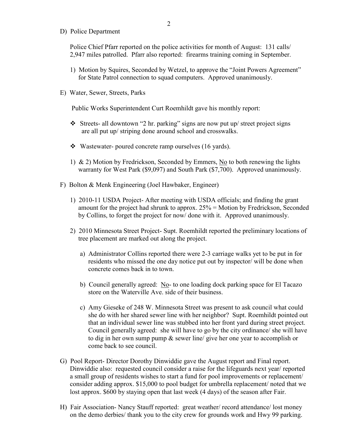D) Police Department

Police Chief Pfarr reported on the police activities for month of August: 131 calls/ 2,947 miles patrolled. Pfarr also reported: firearms training coming in September.

- 1) Motion by Squires, Seconded by Wetzel, to approve the "Joint Powers Agreement" for State Patrol connection to squad computers. Approved unanimously.
- E) Water, Sewer, Streets, Parks

Public Works Superintendent Curt Roemhildt gave his monthly report:

- Streets- all downtown "2 hr. parking" signs are now put up/ street project signs are all put up/ striping done around school and crosswalks.
- Wastewater- poured concrete ramp ourselves (16 yards).
- 1) & 2) Motion by Fredrickson, Seconded by Emmers, No to both renewing the lights warranty for West Park (\$9,097) and South Park (\$7,700). Approved unanimously.
- F) Bolton & Menk Engineering (Joel Hawbaker, Engineer)
	- 1) 2010-11 USDA Project- After meeting with USDA officials; and finding the grant amount for the project had shrunk to approx. 25% = Motion by Fredrickson, Seconded by Collins, to forget the project for now/ done with it. Approved unanimously.
	- 2) 2010 Minnesota Street Project- Supt. Roemhildt reported the preliminary locations of tree placement are marked out along the project.
		- a) Administrator Collins reported there were 2-3 carriage walks yet to be put in for residents who missed the one day notice put out by inspector/ will be done when concrete comes back in to town.
		- b) Council generally agreed: No- to one loading dock parking space for El Tacazo store on the Waterville Ave. side of their business.
		- c) Amy Gieseke of 248 W. Minnesota Street was present to ask council what could she do with her shared sewer line with her neighbor? Supt. Roemhildt pointed out that an individual sewer line was stubbed into her front yard during street project. Council generally agreed: she will have to go by the city ordinance/ she will have to dig in her own sump pump & sewer line/ give her one year to accomplish or come back to see council.
- G) Pool Report- Director Dorothy Dinwiddie gave the August report and Final report. Dinwiddie also: requested council consider a raise for the lifeguards next year/ reported a small group of residents wishes to start a fund for pool improvements or replacement/ consider adding approx. \$15,000 to pool budget for umbrella replacement/ noted that we lost approx. \$600 by staying open that last week (4 days) of the season after Fair.
- H) Fair Association- Nancy Stauff reported: great weather/ record attendance/ lost money on the demo derbies/ thank you to the city crew for grounds work and Hwy 99 parking.